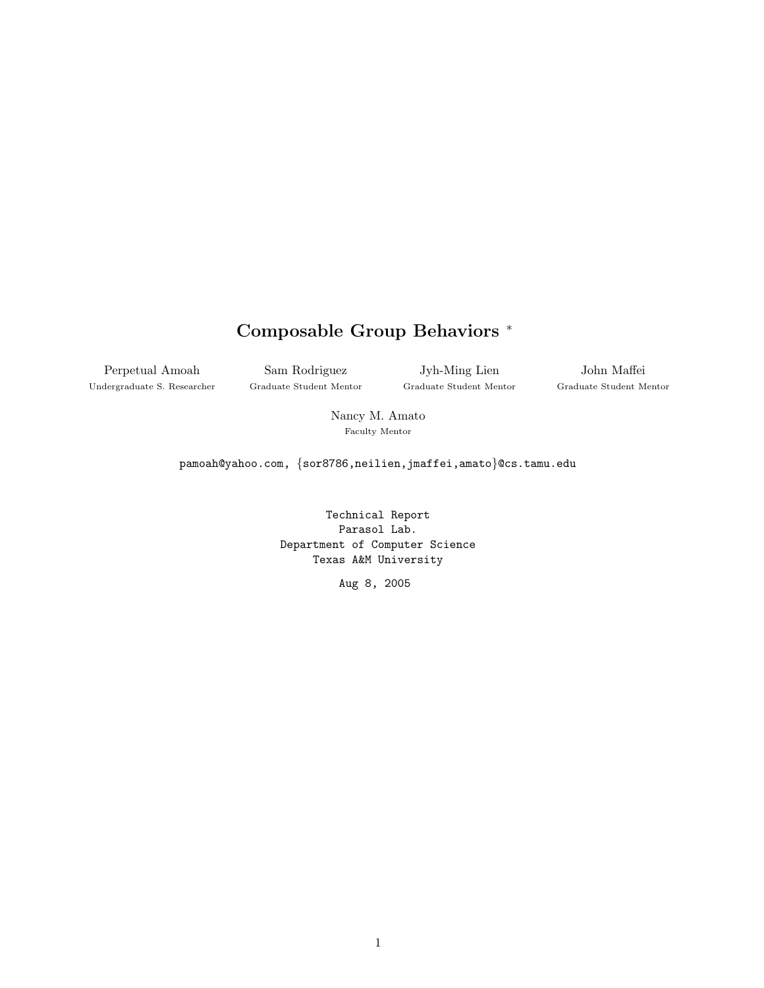# Composable Group Behaviors <sup>∗</sup>

Perpetual Amoah Undergraduate S. Researcher

Sam Rodriguez Graduate Student Mentor

Jyh-Ming Lien Graduate Student Mentor

John Maffei Graduate Student Mentor

Nancy M. Amato Faculty Mentor

pamoah@yahoo.com, {sor8786,neilien,jmaffei,amato}@cs.tamu.edu

Technical Report Parasol Lab. Department of Computer Science Texas A&M University

Aug 8, 2005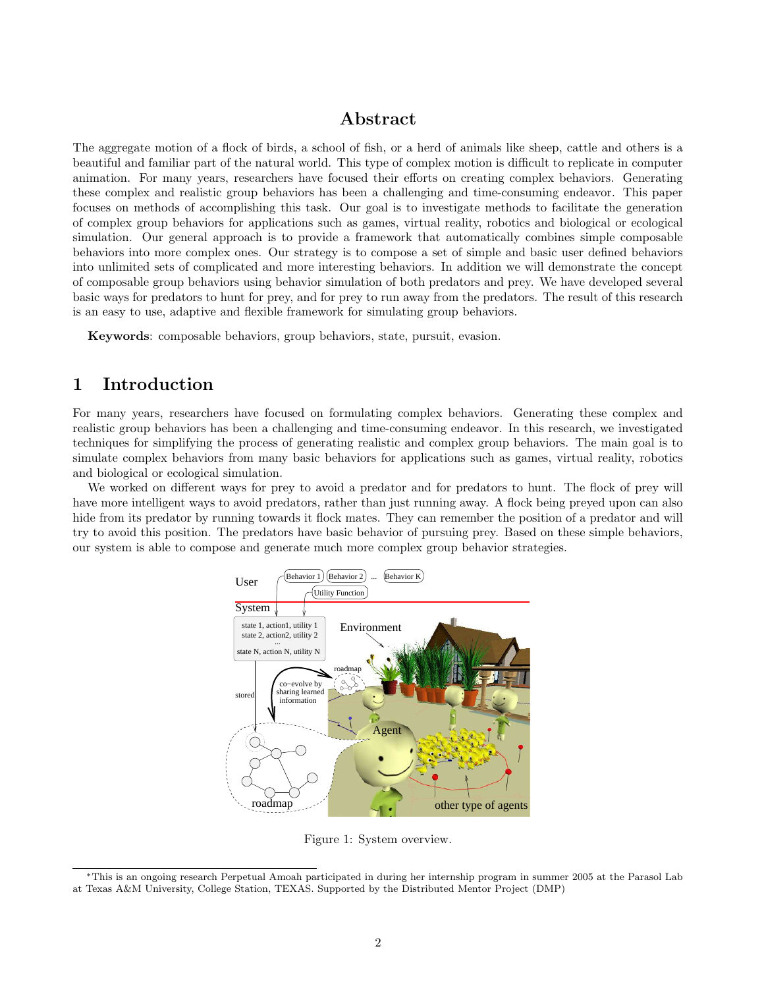## Abstract

The aggregate motion of a flock of birds, a school of fish, or a herd of animals like sheep, cattle and others is a beautiful and familiar part of the natural world. This type of complex motion is difficult to replicate in computer animation. For many years, researchers have focused their efforts on creating complex behaviors. Generating these complex and realistic group behaviors has been a challenging and time-consuming endeavor. This paper focuses on methods of accomplishing this task. Our goal is to investigate methods to facilitate the generation of complex group behaviors for applications such as games, virtual reality, robotics and biological or ecological simulation. Our general approach is to provide a framework that automatically combines simple composable behaviors into more complex ones. Our strategy is to compose a set of simple and basic user defined behaviors into unlimited sets of complicated and more interesting behaviors. In addition we will demonstrate the concept of composable group behaviors using behavior simulation of both predators and prey. We have developed several basic ways for predators to hunt for prey, and for prey to run away from the predators. The result of this research is an easy to use, adaptive and flexible framework for simulating group behaviors.

Keywords: composable behaviors, group behaviors, state, pursuit, evasion.

## 1 Introduction

For many years, researchers have focused on formulating complex behaviors. Generating these complex and realistic group behaviors has been a challenging and time-consuming endeavor. In this research, we investigated techniques for simplifying the process of generating realistic and complex group behaviors. The main goal is to simulate complex behaviors from many basic behaviors for applications such as games, virtual reality, robotics and biological or ecological simulation.

We worked on different ways for prey to avoid a predator and for predators to hunt. The flock of prey will have more intelligent ways to avoid predators, rather than just running away. A flock being preyed upon can also hide from its predator by running towards it flock mates. They can remember the position of a predator and will try to avoid this position. The predators have basic behavior of pursuing prey. Based on these simple behaviors, our system is able to compose and generate much more complex group behavior strategies.



Figure 1: System overview.

<sup>∗</sup>This is an ongoing research Perpetual Amoah participated in during her internship program in summer 2005 at the Parasol Lab at Texas A&M University, College Station, TEXAS. Supported by the Distributed Mentor Project (DMP)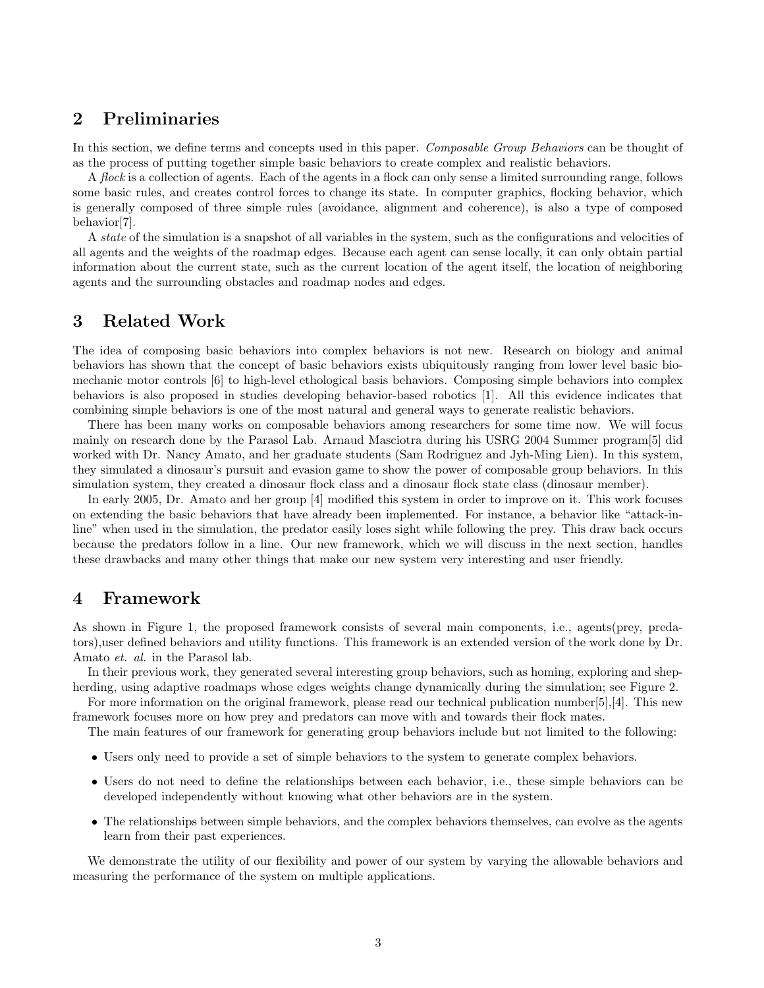## 2 Preliminaries

In this section, we define terms and concepts used in this paper. Composable Group Behaviors can be thought of as the process of putting together simple basic behaviors to create complex and realistic behaviors.

A *flock* is a collection of agents. Each of the agents in a flock can only sense a limited surrounding range, follows some basic rules, and creates control forces to change its state. In computer graphics, flocking behavior, which is generally composed of three simple rules (avoidance, alignment and coherence), is also a type of composed behavior[7].

A state of the simulation is a snapshot of all variables in the system, such as the configurations and velocities of all agents and the weights of the roadmap edges. Because each agent can sense locally, it can only obtain partial information about the current state, such as the current location of the agent itself, the location of neighboring agents and the surrounding obstacles and roadmap nodes and edges.

### 3 Related Work

The idea of composing basic behaviors into complex behaviors is not new. Research on biology and animal behaviors has shown that the concept of basic behaviors exists ubiquitously ranging from lower level basic biomechanic motor controls [6] to high-level ethological basis behaviors. Composing simple behaviors into complex behaviors is also proposed in studies developing behavior-based robotics [1]. All this evidence indicates that combining simple behaviors is one of the most natural and general ways to generate realistic behaviors.

There has been many works on composable behaviors among researchers for some time now. We will focus mainly on research done by the Parasol Lab. Arnaud Masciotra during his USRG 2004 Summer program[5] did worked with Dr. Nancy Amato, and her graduate students (Sam Rodriguez and Jyh-Ming Lien). In this system, they simulated a dinosaur's pursuit and evasion game to show the power of composable group behaviors. In this simulation system, they created a dinosaur flock class and a dinosaur flock state class (dinosaur member).

In early 2005, Dr. Amato and her group [4] modified this system in order to improve on it. This work focuses on extending the basic behaviors that have already been implemented. For instance, a behavior like "attack-inline" when used in the simulation, the predator easily loses sight while following the prey. This draw back occurs because the predators follow in a line. Our new framework, which we will discuss in the next section, handles these drawbacks and many other things that make our new system very interesting and user friendly.

### 4 Framework

As shown in Figure 1, the proposed framework consists of several main components, i.e., agents(prey, predators),user defined behaviors and utility functions. This framework is an extended version of the work done by Dr. Amato et. al. in the Parasol lab.

In their previous work, they generated several interesting group behaviors, such as homing, exploring and shepherding, using adaptive roadmaps whose edges weights change dynamically during the simulation; see Figure 2.

For more information on the original framework, please read our technical publication number[5],[4]. This new framework focuses more on how prey and predators can move with and towards their flock mates.

The main features of our framework for generating group behaviors include but not limited to the following:

- Users only need to provide a set of simple behaviors to the system to generate complex behaviors.
- Users do not need to define the relationships between each behavior, i.e., these simple behaviors can be developed independently without knowing what other behaviors are in the system.
- The relationships between simple behaviors, and the complex behaviors themselves, can evolve as the agents learn from their past experiences.

We demonstrate the utility of our flexibility and power of our system by varying the allowable behaviors and measuring the performance of the system on multiple applications.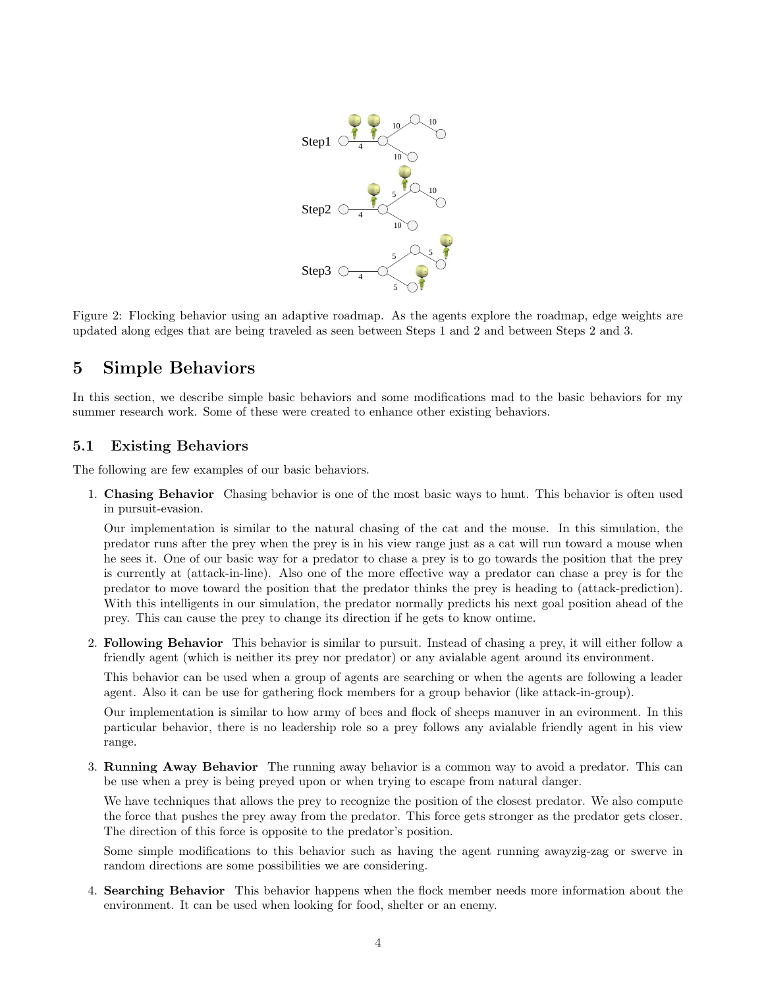

Figure 2: Flocking behavior using an adaptive roadmap. As the agents explore the roadmap, edge weights are updated along edges that are being traveled as seen between Steps 1 and 2 and between Steps 2 and 3.

## 5 Simple Behaviors

In this section, we describe simple basic behaviors and some modifications mad to the basic behaviors for my summer research work. Some of these were created to enhance other existing behaviors.

#### 5.1 Existing Behaviors

The following are few examples of our basic behaviors.

1. Chasing Behavior Chasing behavior is one of the most basic ways to hunt. This behavior is often used in pursuit-evasion.

Our implementation is similar to the natural chasing of the cat and the mouse. In this simulation, the predator runs after the prey when the prey is in his view range just as a cat will run toward a mouse when he sees it. One of our basic way for a predator to chase a prey is to go towards the position that the prey is currently at (attack-in-line). Also one of the more effective way a predator can chase a prey is for the predator to move toward the position that the predator thinks the prey is heading to (attack-prediction). With this intelligents in our simulation, the predator normally predicts his next goal position ahead of the prey. This can cause the prey to change its direction if he gets to know ontime.

2. Following Behavior This behavior is similar to pursuit. Instead of chasing a prey, it will either follow a friendly agent (which is neither its prey nor predator) or any avialable agent around its environment.

This behavior can be used when a group of agents are searching or when the agents are following a leader agent. Also it can be use for gathering flock members for a group behavior (like attack-in-group).

Our implementation is similar to how army of bees and flock of sheeps manuver in an evironment. In this particular behavior, there is no leadership role so a prey follows any avialable friendly agent in his view range.

3. Running Away Behavior The running away behavior is a common way to avoid a predator. This can be use when a prey is being preyed upon or when trying to escape from natural danger.

We have techniques that allows the prey to recognize the position of the closest predator. We also compute the force that pushes the prey away from the predator. This force gets stronger as the predator gets closer. The direction of this force is opposite to the predator's position.

Some simple modifications to this behavior such as having the agent running awayzig-zag or swerve in random directions are some possibilities we are considering.

4. Searching Behavior This behavior happens when the flock member needs more information about the environment. It can be used when looking for food, shelter or an enemy.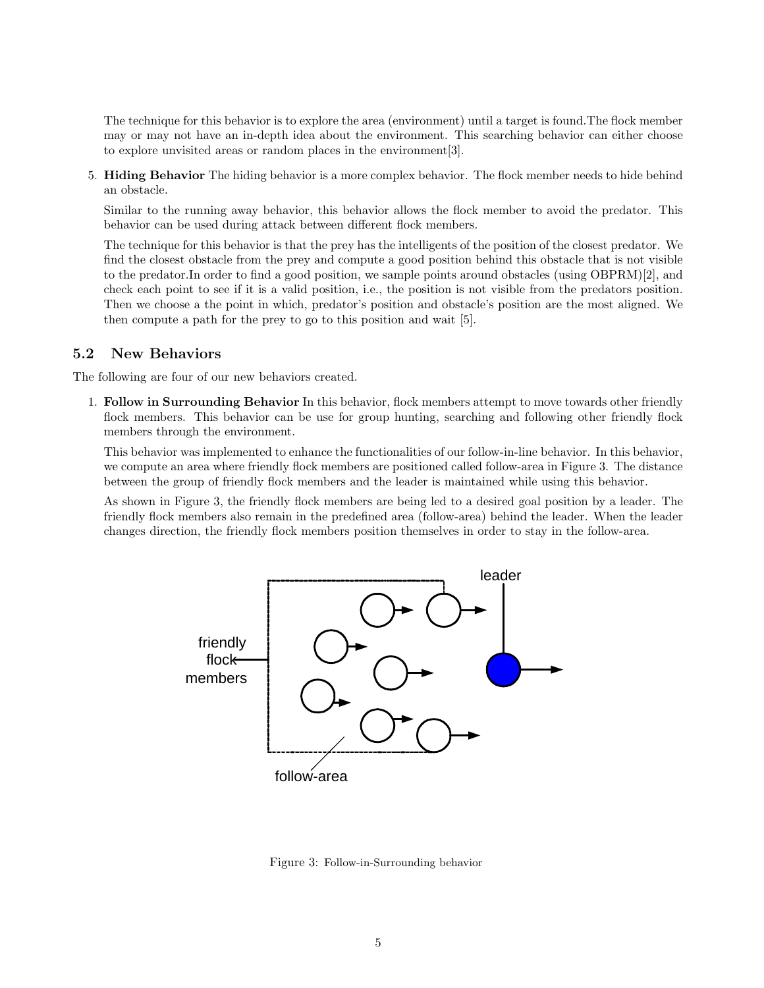The technique for this behavior is to explore the area (environment) until a target is found.The flock member may or may not have an in-depth idea about the environment. This searching behavior can either choose to explore unvisited areas or random places in the environment[3].

5. Hiding Behavior The hiding behavior is a more complex behavior. The flock member needs to hide behind an obstacle.

Similar to the running away behavior, this behavior allows the flock member to avoid the predator. This behavior can be used during attack between different flock members.

The technique for this behavior is that the prey has the intelligents of the position of the closest predator. We find the closest obstacle from the prey and compute a good position behind this obstacle that is not visible to the predator.In order to find a good position, we sample points around obstacles (using OBPRM)[2], and check each point to see if it is a valid position, i.e., the position is not visible from the predators position. Then we choose a the point in which, predator's position and obstacle's position are the most aligned. We then compute a path for the prey to go to this position and wait [5].

#### 5.2 New Behaviors

The following are four of our new behaviors created.

1. Follow in Surrounding Behavior In this behavior, flock members attempt to move towards other friendly flock members. This behavior can be use for group hunting, searching and following other friendly flock members through the environment.

This behavior was implemented to enhance the functionalities of our follow-in-line behavior. In this behavior, we compute an area where friendly flock members are positioned called follow-area in Figure 3. The distance between the group of friendly flock members and the leader is maintained while using this behavior.

As shown in Figure 3, the friendly flock members are being led to a desired goal position by a leader. The friendly flock members also remain in the predefined area (follow-area) behind the leader. When the leader changes direction, the friendly flock members position themselves in order to stay in the follow-area.



Figure 3: Follow-in-Surrounding behavior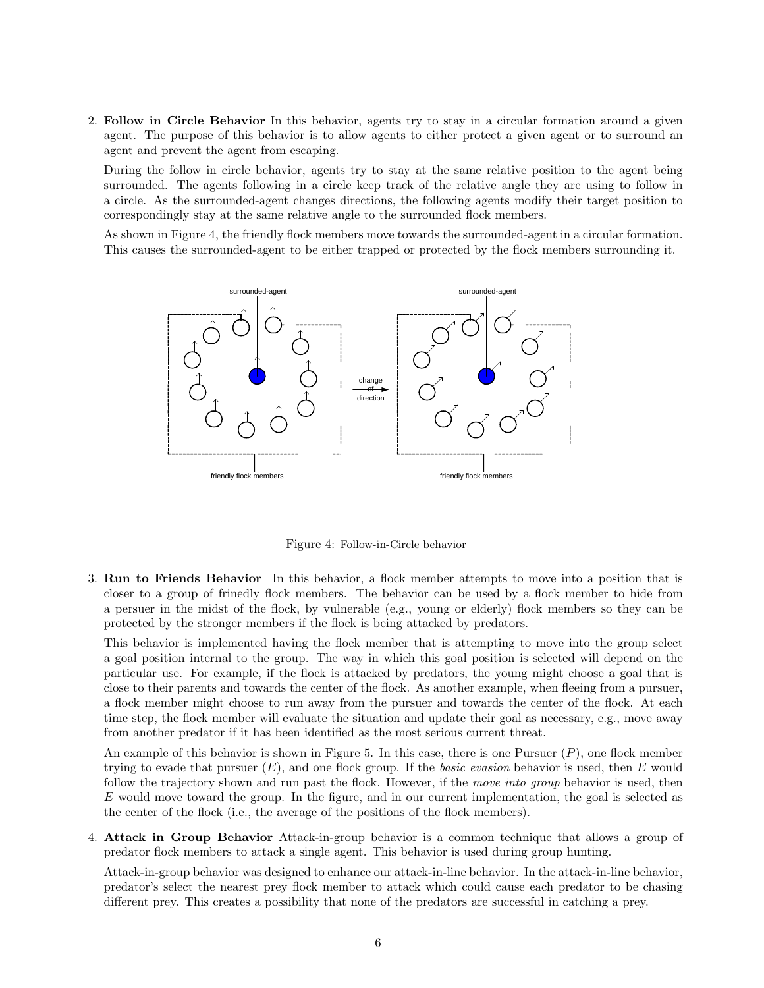2. Follow in Circle Behavior In this behavior, agents try to stay in a circular formation around a given agent. The purpose of this behavior is to allow agents to either protect a given agent or to surround an agent and prevent the agent from escaping.

During the follow in circle behavior, agents try to stay at the same relative position to the agent being surrounded. The agents following in a circle keep track of the relative angle they are using to follow in a circle. As the surrounded-agent changes directions, the following agents modify their target position to correspondingly stay at the same relative angle to the surrounded flock members.

As shown in Figure 4, the friendly flock members move towards the surrounded-agent in a circular formation. This causes the surrounded-agent to be either trapped or protected by the flock members surrounding it.



Figure 4: Follow-in-Circle behavior

3. Run to Friends Behavior In this behavior, a flock member attempts to move into a position that is closer to a group of frinedly flock members. The behavior can be used by a flock member to hide from a persuer in the midst of the flock, by vulnerable (e.g., young or elderly) flock members so they can be protected by the stronger members if the flock is being attacked by predators.

This behavior is implemented having the flock member that is attempting to move into the group select a goal position internal to the group. The way in which this goal position is selected will depend on the particular use. For example, if the flock is attacked by predators, the young might choose a goal that is close to their parents and towards the center of the flock. As another example, when fleeing from a pursuer, a flock member might choose to run away from the pursuer and towards the center of the flock. At each time step, the flock member will evaluate the situation and update their goal as necessary, e.g., move away from another predator if it has been identified as the most serious current threat.

An example of this behavior is shown in Figure 5. In this case, there is one Pursuer  $(P)$ , one flock member trying to evade that pursuer  $(E)$ , and one flock group. If the *basic evasion* behavior is used, then  $E$  would follow the trajectory shown and run past the flock. However, if the move into group behavior is used, then  $E$  would move toward the group. In the figure, and in our current implementation, the goal is selected as the center of the flock (i.e., the average of the positions of the flock members).

4. Attack in Group Behavior Attack-in-group behavior is a common technique that allows a group of predator flock members to attack a single agent. This behavior is used during group hunting.

Attack-in-group behavior was designed to enhance our attack-in-line behavior. In the attack-in-line behavior, predator's select the nearest prey flock member to attack which could cause each predator to be chasing different prey. This creates a possibility that none of the predators are successful in catching a prey.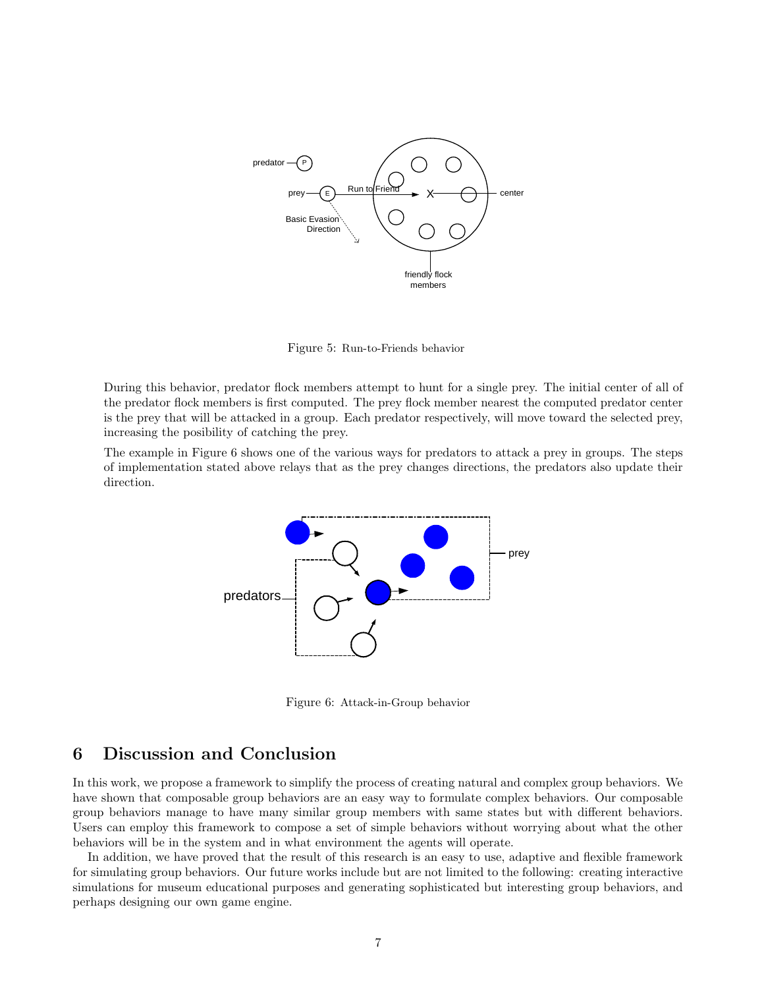

Figure 5: Run-to-Friends behavior

During this behavior, predator flock members attempt to hunt for a single prey. The initial center of all of the predator flock members is first computed. The prey flock member nearest the computed predator center is the prey that will be attacked in a group. Each predator respectively, will move toward the selected prey, increasing the posibility of catching the prey.

The example in Figure 6 shows one of the various ways for predators to attack a prey in groups. The steps of implementation stated above relays that as the prey changes directions, the predators also update their direction.



Figure 6: Attack-in-Group behavior

## 6 Discussion and Conclusion

In this work, we propose a framework to simplify the process of creating natural and complex group behaviors. We have shown that composable group behaviors are an easy way to formulate complex behaviors. Our composable group behaviors manage to have many similar group members with same states but with different behaviors. Users can employ this framework to compose a set of simple behaviors without worrying about what the other behaviors will be in the system and in what environment the agents will operate.

In addition, we have proved that the result of this research is an easy to use, adaptive and flexible framework for simulating group behaviors. Our future works include but are not limited to the following: creating interactive simulations for museum educational purposes and generating sophisticated but interesting group behaviors, and perhaps designing our own game engine.